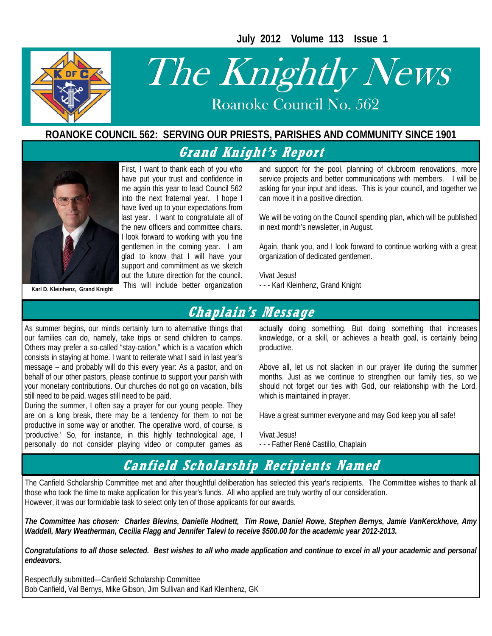**July 2012 Volume 113 Issue 1** 



# The Knightly News

Roanoke Council No. 562 Roanoke Council No. 562

#### **ROANOKE COUNCIL 562: SERVING OUR PRIESTS, PARISHES AND COMMUNITY SINCE 1901**

**Grand Knight's Report** 



First, I want to thank each of you who have put your trust and confidence in me again this year to lead Council 562 into the next fraternal year. I hope I have lived up to your expectations from last year. I want to congratulate all of the new officers and committee chairs. I look forward to working with you fine gentlemen in the coming year. I am glad to know that I will have your support and commitment as we sketch out the future direction for the council.

and support for the pool, planning of clubroom renovations, more service projects and better communications with members. I will be asking for your input and ideas. This is your council, and together we can move it in a positive direction.

We will be voting on the Council spending plan, which will be published in next month's newsletter, in August.

Again, thank you, and I look forward to continue working with a great organization of dedicated gentlemen.

Vivat Jesus!<br>- - - Karl Kleinhenz, Grand Knight

### **Chaplain's Message**

As summer begins, our minds certainly turn to alternative things that our families can do, namely, take trips or send children to camps. Others may prefer a so-called "stay-cation," which is a vacation which consists in staying at home. I want to reiterate what I said in last year's message – and probably will do this every year: As a pastor, and on behalf of our other pastors, please continue to support your parish with your monetary contributions. Our churches do not go on vacation, bills still need to be paid, wages still need to be paid.

During the summer, I often say a prayer for our young people. They are on a long break, there may be a tendency for them to not be productive in some way or another. The operative word, of course, is 'productive.' So, for instance, in this highly technological age, I personally do not consider playing video or computer games as

actually doing something. But doing something that increases knowledge, or a skill, or achieves a health goal, is certainly being productive.

Above all, let us not slacken in our prayer life during the summer months. Just as we continue to strengthen our family ties, so we should not forget our ties with God, our relationship with the Lord, which is maintained in prayer.

Have a great summer everyone and may God keep you all safe!

Vivat Jesus!

- - - Father René Castillo, Chaplain

## **Canfield Scholarship Recipients Named**

The Canfield Scholarship Committee met and after thoughtful deliberation has selected this year's recipients. The Committee wishes to thank all those who took the time to make application for this year's funds. All who applied are truly worthy of our consideration. However, it was our formidable task to select only ten of those applicants for our awards.

*The Committee has chosen: Charles Blevins, Danielle Hodnett, Tim Rowe, Daniel Rowe, Stephen Bernys, Jamie VanKerckhove, Amy Waddell, Mary Weatherman, Cecilia Flagg and Jennifer Talevi to receive \$500.00 for the academic year 2012-2013.* 

*Congratulations to all those selected. Best wishes to all who made application and continue to excel in all your academic and personal endeavors.* 

Respectfully submitted—Canfield Scholarship Committee Bob Canfield, Val Bernys, Mike Gibson, Jim Sullivan and Karl Kleinhenz, GK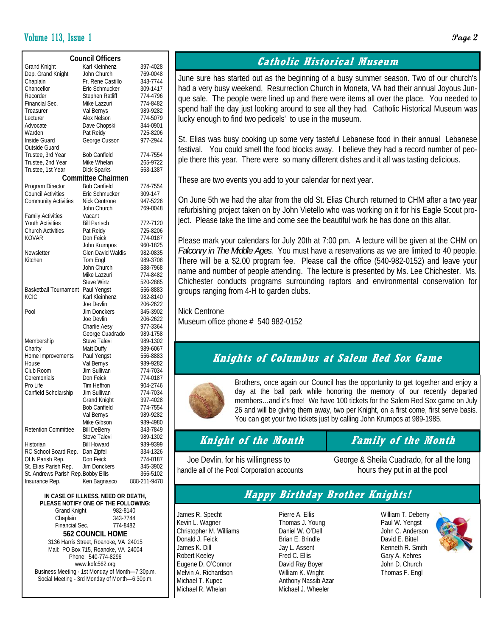#### Volume 113, Issue 1 **Page 2**

| <b>Council Officers</b>             |                           |              |  |  |  |  |  |  |  |
|-------------------------------------|---------------------------|--------------|--|--|--|--|--|--|--|
| <b>Grand Knight</b>                 | Karl Kleinhenz            | 397-4028     |  |  |  |  |  |  |  |
| Dep. Grand Knight                   | John Church               | 769-0048     |  |  |  |  |  |  |  |
| Chaplain                            | Fr. Rene Castillo         | 343-7744     |  |  |  |  |  |  |  |
| Chancellor                          | Eric Schmucker            | 309-1417     |  |  |  |  |  |  |  |
| Recorder                            | <b>Stephen Ratliff</b>    | 774-4796     |  |  |  |  |  |  |  |
| Financial Sec.                      | Mike Lazzuri              | 774-8482     |  |  |  |  |  |  |  |
| Treasurer                           | Val Bernys                | 989-9282     |  |  |  |  |  |  |  |
| Lecturer                            | Alex Nelson               | 774-5079     |  |  |  |  |  |  |  |
| Advocate                            | Dave Chopski              | 344-0901     |  |  |  |  |  |  |  |
| Warden                              | Pat Reidy                 | 725-8206     |  |  |  |  |  |  |  |
| Inside Guard                        | George Cusson             | 977-2944     |  |  |  |  |  |  |  |
| Outside Guard                       |                           |              |  |  |  |  |  |  |  |
| Trustee, 3rd Year                   | <b>Bob Canfield</b>       | 774-7554     |  |  |  |  |  |  |  |
| Trustee, 2nd Year                   | Mike Whelan               | 265-9722     |  |  |  |  |  |  |  |
| Trustee, 1st Year                   | <b>Dick Sparks</b>        | 563-1387     |  |  |  |  |  |  |  |
|                                     | <b>Committee Chairmen</b> |              |  |  |  |  |  |  |  |
| Program Director                    | <b>Bob Canfield</b>       | 774-7554     |  |  |  |  |  |  |  |
| <b>Council Activities</b>           | Eric Schmucker            | 309-147      |  |  |  |  |  |  |  |
| <b>Community Activities</b>         | <b>Nick Centrone</b>      | 947-5226     |  |  |  |  |  |  |  |
|                                     | John Church               | 769-0048     |  |  |  |  |  |  |  |
| <b>Family Activities</b>            | Vacant                    |              |  |  |  |  |  |  |  |
| <b>Youth Activities</b>             | <b>Bill Partsch</b>       | 772-7120     |  |  |  |  |  |  |  |
| <b>Church Activities</b>            | Pat Reidy                 | 725-8206     |  |  |  |  |  |  |  |
| <b>KOVAR</b>                        | Don Feick                 | 774-0187     |  |  |  |  |  |  |  |
|                                     | John Krumpos              | 960-1825     |  |  |  |  |  |  |  |
| Newsletter                          | Glen David Waldis         | 982-0835     |  |  |  |  |  |  |  |
| Kitchen                             | Tom Engl                  | 989-3708     |  |  |  |  |  |  |  |
|                                     | John Church               | 588-7968     |  |  |  |  |  |  |  |
|                                     | Mike Lazzuri              | 774-8482     |  |  |  |  |  |  |  |
|                                     | <b>Steve Wirtz</b>        | 520-2885     |  |  |  |  |  |  |  |
| <b>Basketball Tournament</b>        | Paul Yengst               | 556-8883     |  |  |  |  |  |  |  |
| <b>KCIC</b>                         | Karl Kleinhenz            | 982-8140     |  |  |  |  |  |  |  |
|                                     | Joe Devlin                | 206-2622     |  |  |  |  |  |  |  |
| Pool                                | Jim Donckers              | 345-3902     |  |  |  |  |  |  |  |
|                                     | Joe Devlin                | 206-2622     |  |  |  |  |  |  |  |
|                                     | Charlie Aesy              | 977-3364     |  |  |  |  |  |  |  |
|                                     | George Cuadrado           | 989-1758     |  |  |  |  |  |  |  |
| Membership                          | Steve Talevi              | 989-1302     |  |  |  |  |  |  |  |
| Charity                             | Matt Duffy                | 989-6067     |  |  |  |  |  |  |  |
| Home Improvements                   | Paul Yengst               | 556-8883     |  |  |  |  |  |  |  |
| House                               | Val Bernys                | 989-9282     |  |  |  |  |  |  |  |
| Club Room                           | Jim Sullivan              | 774-7034     |  |  |  |  |  |  |  |
| Ceremonials                         | Don Feick                 | 774-0187     |  |  |  |  |  |  |  |
| Pro Life                            | Tim Heffron               | 904-2746     |  |  |  |  |  |  |  |
| Canfield Scholarship                | Jim Sullivan              | 774-7034     |  |  |  |  |  |  |  |
|                                     | <b>Grand Knight</b>       | 397-4028     |  |  |  |  |  |  |  |
|                                     | <b>Bob Canfield</b>       | 774-7554     |  |  |  |  |  |  |  |
|                                     | Val Bernys                | 989-9282     |  |  |  |  |  |  |  |
|                                     | Mike Gibson               | 989-4980     |  |  |  |  |  |  |  |
| <b>Retention Committee</b>          | <b>Bill DeBerry</b>       | 343-7849     |  |  |  |  |  |  |  |
|                                     | Steve Talevi              | 989-1302     |  |  |  |  |  |  |  |
| Historian                           | <b>Bill Howard</b>        | 989-9399     |  |  |  |  |  |  |  |
| RC School Board Rep.                | Dan Zipfel                | 334-1326     |  |  |  |  |  |  |  |
| OLN Parish Rep.                     | Don Feick                 | 774-0187     |  |  |  |  |  |  |  |
| St. Elias Parish Rep.               | Jim Donckers              | 345-3902     |  |  |  |  |  |  |  |
| St. Andrews Parish Rep. Bobby Ellis |                           | 366-5102     |  |  |  |  |  |  |  |
| Insurance Rep.                      | Ken Bagnasco              | 888-211-9478 |  |  |  |  |  |  |  |
|                                     |                           |              |  |  |  |  |  |  |  |

#### **IN CASE OF ILLNESS, NEED OR DEATH, PLEASE NOTIFY ONE OF THE FOLLOWING:**

| <b>Grand Knight</b>                             | 982-8140 |  |  |  |  |
|-------------------------------------------------|----------|--|--|--|--|
| Chaplain                                        | 343-7744 |  |  |  |  |
| Financial Sec.                                  | 774-8482 |  |  |  |  |
| <b>562 COUNCIL HOME</b>                         |          |  |  |  |  |
| 3136 Harris Street, Roanoke, VA 24015           |          |  |  |  |  |
| Mail: PO Box 715, Roanoke, VA 24004             |          |  |  |  |  |
| Phone: 540-774-8296                             |          |  |  |  |  |
| www.kofc562.org                                 |          |  |  |  |  |
| Business Meeting - 1st Monday of Month-7:30p.m. |          |  |  |  |  |
| Social Meeting - 3rd Monday of Month-6:30p.m.   |          |  |  |  |  |
|                                                 |          |  |  |  |  |

#### **Catholic Historical Museum**

June sure has started out as the beginning of a busy summer season. Two of our church's had a very busy weekend, Resurrection Church in Moneta, VA had their annual Joyous Junque sale. The people were lined up and there were items all over the place. You needed to spend half the day just looking around to see all they had. Catholic Historical Museum was lucky enough to find two pedicels' to use in the museum.

St. Elias was busy cooking up some very tasteful Lebanese food in their annual Lebanese festival. You could smell the food blocks away. I believe they had a record number of people there this year. There were so many different dishes and it all was tasting delicious.

These are two events you add to your calendar for next year.

On June 5th we had the altar from the old St. Elias Church returned to CHM after a two year refurbishing project taken on by John Vietello who was working on it for his Eagle Scout project. Please take the time and come see the beautiful work he has done on this altar.

Please mark your calendars for July 20th at 7:00 pm. A lecture will be given at the CHM on *Falconry in The Middle Ages*. You must have a reservations as we are limited to 40 people. There will be a \$2.00 program fee. Please call the office (540-982-0152) and leave your name and number of people attending. The lecture is presented by Ms. Lee Chichester. Ms. Chichester conducts programs surrounding raptors and environmental conservation for groups ranging from 4-H to garden clubs.

Nick Centrone Museum office phone # 540 982-0152

#### **Knights of Columbus at Salem Red Sox Game**



Brothers, once again our Council has the opportunity to get together and enjoy a day at the ball park while honoring the memory of our recently departed members…and it's free! We have 100 tickets for the Salem Red Sox game on July 26 and will be giving them away, two per Knight, on a first come, first serve basis. You can get your two tickets just by calling John Krumpos at 989-1985.

#### **Knight of the Month Family of the Month**

handle all of the Pool Corporation accounts hours they put in at the pool

Joe Devlin, for his willingness to George & Sheila Cuadrado, for all the long

#### **Happy Birthday Brother Knights!**

James R. Specht Kevin L. Wagner Christopher M. Williams Donald J. Feick James K. Dill Robert Keeley Eugene D. O'Connor Melvin A. Richardson Michael T. Kupec Michael R. Whelan

Pierre A. Ellis Thomas J. Young Daniel W. O'Dell Brian E. Brindle Jay L. Assent Fred C. Ellis David Ray Boyer William K. Wright Anthony Nassib Azar Michael J. Wheeler

William T. Deberry Paul W. Yengst John C. Andersor David E. Bittel Kenneth R. Smith Gary A. Kehres John D. Church Thomas F. Engl

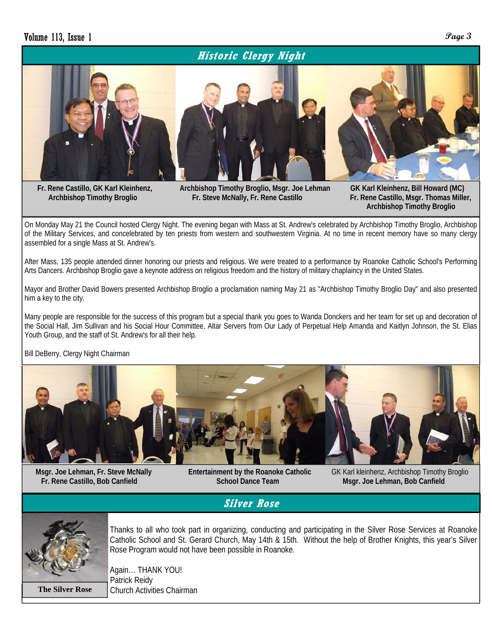#### **Historic Clergy Night**



 **Fr. Rene Castillo, GK Karl Kleinhenz, Archbishop Timothy Broglio, Msgr. Joe Lehman GK Karl Kleinhenz, Bill Howard (MC) Archbishop Timothy Broglio Fr. Steve McNally, Fr. Rene Castillo Fr. Rene Castillo, Msgr. Thomas Miller,** 

 **Archbishop Timothy Broglio** 

On Monday May 21 the Council hosted Clergy Night. The evening began with Mass at St. Andrew's celebrated by Archbishop Timothy Broglio, Archbishop of the Military Services, and concelebrated by ten priests from western and southwestern Virginia. At no time in recent memory have so many clergy assembled for a single Mass at St. Andrew's.

After Mass, 135 people attended dinner honoring our priests and religious. We were treated to a performance by Roanoke Catholic School's Performing Arts Dancers. Archbishop Broglio gave a keynote address on religious freedom and the history of military chaplaincy in the United States.

Mayor and Brother David Bowers presented Archbishop Broglio a proclamation naming May 21 as "Archbishop Timothy Broglio Day" and also presented him a key to the city.

Many people are responsible for the success of this program but a special thank you goes to Wanda Donckers and her team for set up and decoration of the Social Hall, Jim Sullivan and his Social Hour Committee, Altar Servers from Our Lady of Perpetual Help Amanda and Kaitlyn Johnson, the St. Elias Youth Group, and the staff of St. Andrew's for all their help.

Bill DeBerry, Clergy Night Chairman



 **Fr. Rene Castillo, Bob Canfield School Dance Team Msgr. Joe Lehman, Bob Canfield** 

 **Msgr. Joe Lehman, Fr. Steve McNally Entertainment by the Roanoke Catholic** GK Karl kleinhenz, Archbishop Timothy Broglio

**Silver Rose** 



Thanks to all who took part in organizing, conducting and participating in the Silver Rose Services at Roanoke Catholic School and St. Gerard Church, May 14th & 15th. Without the help of Brother Knights, this year's Silver Rose Program would not have been possible in Roanoke.

Again… THANK YOU! Patrick Reidy **The Silver Rose** | Church Activities Chairman